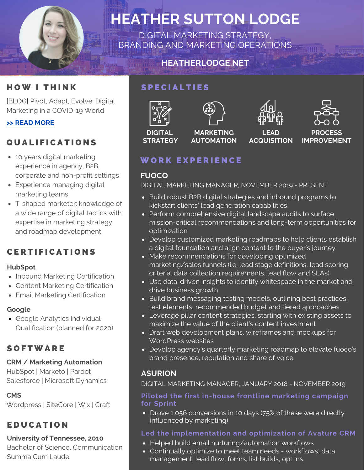

# **HEATHER SUTTON LODGE**

DIGITAL MARKETING STRATEGY, BRANDING AND MARKETING OPERATIONS

# **HEATHERLODGE.NET**



[BLOG] Pivot, Adapt, Evolve: Digital Marketing in a COVID-19 World

# **>> READ [MORE](https://www.heatherlodge.net/post/pivot-adapt-evolve-digital-marketing-in-a-covid-19-world)**

# Q U A L I F I C A T I O N S

- 10 years digital marketing experience in agency, B2B, corporate and non-profit settings
- Experience managing digital marketing teams
- T-shaped marketer: knowledge of a wide range of digital tactics with expertise in marketing strategy and roadmap development

# **CERTIFICATIONS**

#### **HubSpot**

- Inbound Marketing Certification
- Content Marketing Certification
- Email Marketing Certification

## **Google**

Google Analytics Individual Qualification (planned for 2020)

# **SOFTWARE**

## **CRM / Marketing Automation**

HubSpot | Marketo | Pardot Salesforce | Microsoft Dynamics

# **CMS**

Wordpress | SiteCore | Wix | Craft

# **EDUCATION**

## **University of Tennessee, 2010**

Bachelor of Science, Communication Summa Cum Laude

# SPECIALTIES



**STRATEGY**



**MARKETING AUTOMATION**





# WORK EXPERIENCE

# **FUOCO**

DIGITAL MARKETING MANAGER, NOVEMBER 2019 - PRESENT

- Build robust B2B digital strategies and inbound programs to kickstart clients' lead generation capabilities
- Perform comprehensive digital landscape audits to surface mission-critical recommendations and long-term opportunities for optimization
- Develop customized marketing roadmaps to help clients establish a digital foundation and align content to the buyer's journey
- Make recommendations for developing optimized marketing/sales funnels (i.e. lead stage definitions, lead scoring criteria, data collection requirements, lead flow and SLAs)
- Use data-driven insights to identify whitespace in the market and drive business growth
- Build brand messaging testing models, outlining best practices, test elements, recommended budget and tiered approaches
- Leverage pillar content strategies, starting with existing assets to maximize the value of the client's content investment
- Draft web development plans, wireframes and mockups for WordPress websites
- Develop agency's quarterly marketing roadmap to elevate fuoco's brand presence, reputation and share of voice

# **ASURION**

DIGITAL MARKETING MANAGER, JANUARY 2018 - NOVEMBER 2019

#### **Piloted the first in-house frontline marketing campaign for Sprint**

• Drove 1,056 conversions in 10 days (75% of these were directly influenced by marketing)

# **Led the implementation and optimization of Avature CRM**

- Helped build email nurturing/automation workflows
- Continually optimize to meet team needs workflows, data management, lead flow, forms, list builds, opt ins